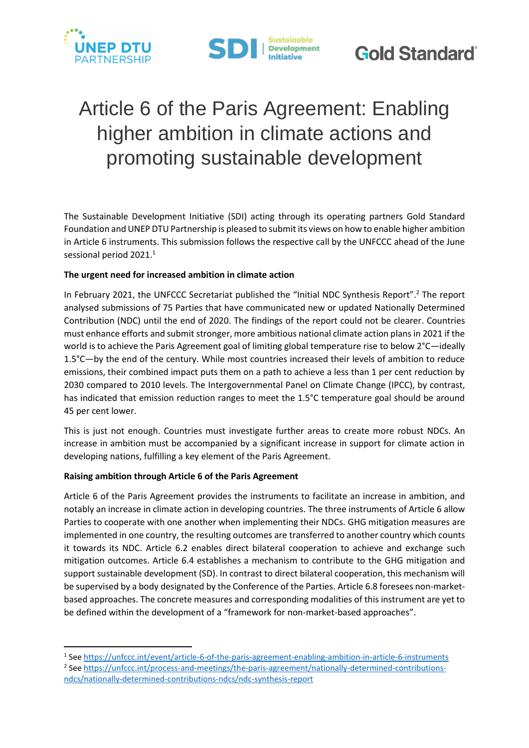



# Article 6 of the Paris Agreement: Enabling higher ambition in climate actions and promoting sustainable development

The Sustainable Development Initiative (SDI) acting through its operating partners Gold Standard Foundation and UNEP DTU Partnership is pleased to submit its views on how to enable higher ambition in Article 6 instruments. This submission follows the respective call by the UNFCCC ahead of the June sessional period 2021. 1

## **The urgent need for increased ambition in climate action**

In February 2021, the UNFCCC Secretariat published the "Initial NDC Synthesis Report". <sup>2</sup> The report analysed submissions of 75 Parties that have communicated new or updated Nationally Determined Contribution (NDC) until the end of 2020. The findings of the report could not be clearer. Countries must enhance efforts and submit stronger, more ambitious national climate action plans in 2021 if the world is to achieve the Paris Agreement goal of limiting global temperature rise to below 2°C—ideally 1.5°C—by the end of the century. While most countries increased their levels of ambition to reduce emissions, their combined impact puts them on a path to achieve a less than 1 per cent reduction by 2030 compared to 2010 levels. The Intergovernmental Panel on Climate Change (IPCC), by contrast, has indicated that emission reduction ranges to meet the 1.5°C temperature goal should be around 45 per cent lower.

This is just not enough. Countries must investigate further areas to create more robust NDCs. An increase in ambition must be accompanied by a significant increase in support for climate action in developing nations, fulfilling a key element of the Paris Agreement.

### **Raising ambition through Article 6 of the Paris Agreement**

**.** 

Article 6 of the Paris Agreement provides the instruments to facilitate an increase in ambition, and notably an increase in climate action in developing countries. The three instruments of Article 6 allow Parties to cooperate with one another when implementing their NDCs. GHG mitigation measures are implemented in one country, the resulting outcomes are transferred to another country which counts it towards its NDC. Article 6.2 enables direct bilateral cooperation to achieve and exchange such mitigation outcomes. Article 6.4 establishes a mechanism to contribute to the GHG mitigation and support sustainable development (SD). In contrast to direct bilateral cooperation, this mechanism will be supervised by a body designated by the Conference of the Parties. Article 6.8 foresees non-marketbased approaches. The concrete measures and corresponding modalities of this instrument are yet to be defined within the development of a "framework for non-market-based approaches".

<sup>&</sup>lt;sup>1</sup> See<https://unfccc.int/event/article-6-of-the-paris-agreement-enabling-ambition-in-article-6-instruments> <sup>2</sup> See [https://unfccc.int/process-and-meetings/the-paris-agreement/nationally-determined-contributions](https://unfccc.int/process-and-meetings/the-paris-agreement/nationally-determined-contributions-ndcs/nationally-determined-contributions-ndcs/ndc-synthesis-report)[ndcs/nationally-determined-contributions-ndcs/ndc-synthesis-report](https://unfccc.int/process-and-meetings/the-paris-agreement/nationally-determined-contributions-ndcs/nationally-determined-contributions-ndcs/ndc-synthesis-report)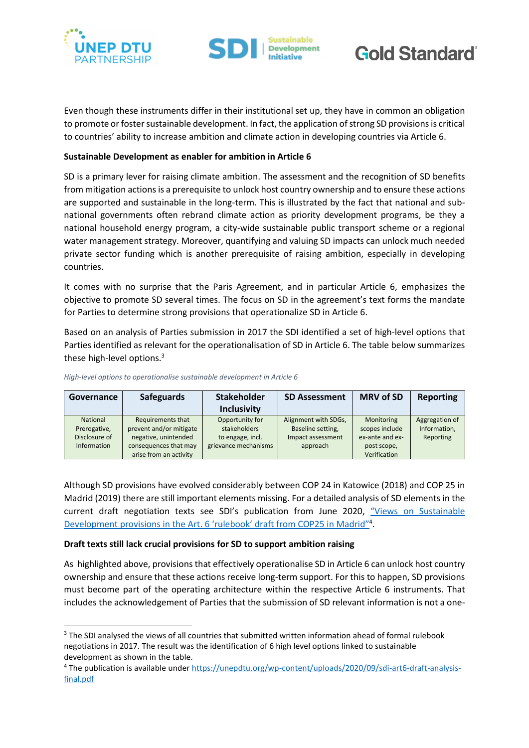

**.** 





Even though these instruments differ in their institutional set up, they have in common an obligation to promote or foster sustainable development. In fact, the application of strong SD provisions is critical to countries' ability to increase ambition and climate action in developing countries via Article 6.

### **Sustainable Development as enabler for ambition in Article 6**

SD is a primary lever for raising climate ambition. The assessment and the recognition of SD benefits from mitigation actions is a prerequisite to unlock host country ownership and to ensure these actions are supported and sustainable in the long-term. This is illustrated by the fact that national and subnational governments often rebrand climate action as priority development programs, be they a national household energy program, a city-wide sustainable public transport scheme or a regional water management strategy. Moreover, quantifying and valuing SD impacts can unlock much needed private sector funding which is another prerequisite of raising ambition, especially in developing countries.

It comes with no surprise that the Paris Agreement, and in particular Article 6, emphasizes the objective to promote SD several times. The focus on SD in the agreement's text forms the mandate for Parties to determine strong provisions that operationalize SD in Article 6.

Based on an analysis of Parties submission in 2017 the SDI identified a set of high-level options that Parties identified as relevant for the operationalisation of SD in Article 6. The table below summarizes these high-level options.<sup>3</sup>

| Governance      | <b>Safeguards</b>       | <b>Stakeholder</b>   | <b>SD Assessment</b> | <b>MRV of SD</b> | Reporting      |
|-----------------|-------------------------|----------------------|----------------------|------------------|----------------|
|                 |                         | <b>Inclusivity</b>   |                      |                  |                |
| <b>National</b> | Requirements that       | Opportunity for      | Alignment with SDGs, | Monitoring       | Aggregation of |
| Prerogative,    | prevent and/or mitigate | stakeholders         | Baseline setting,    | scopes include   | Information,   |
| Disclosure of   | negative, unintended    | to engage, incl.     | Impact assessment    | ex-ante and ex-  | Reporting      |
| Information     | consequences that may   | grievance mechanisms | approach             | post scope,      |                |
|                 | arise from an activity  |                      |                      | Verification     |                |

*High-level options to operationalise sustainable development in Article 6*

Although SD provisions have evolved considerably between COP 24 in Katowice (2018) and COP 25 in Madrid (2019) there are still important elements missing. For a detailed analysis of SD elements in the current draft negotiation texts see SDI's publication from June 2020, ["Views on Sustainable](https://unepdtu.org/wp-content/uploads/2020/09/sdi-art6-draft-analysis-final.pdf)  Development [provisions in the Art. 6 'rulebook'](https://unepdtu.org/wp-content/uploads/2020/09/sdi-art6-draft-analysis-final.pdf) draft from COP25 in Madrid"<sup>4</sup>.

### **Draft texts still lack crucial provisions for SD to support ambition raising**

As highlighted above, provisions that effectively operationalise SD in Article 6 can unlock host country ownership and ensure that these actions receive long-term support. For this to happen, SD provisions must become part of the operating architecture within the respective Article 6 instruments. That includes the acknowledgement of Parties that the submission of SD relevant information is not a one-

<sup>&</sup>lt;sup>3</sup> The SDI analysed the views of all countries that submitted written information ahead of formal rulebook negotiations in 2017. The result was the identification of 6 high level options linked to sustainable development as shown in the table.

<sup>4</sup> The publication is available under [https://unepdtu.org/wp-content/uploads/2020/09/sdi-art6-draft-analysis](https://unepdtu.org/wp-content/uploads/2020/09/sdi-art6-draft-analysis-final.pdf)[final.pdf](https://unepdtu.org/wp-content/uploads/2020/09/sdi-art6-draft-analysis-final.pdf)